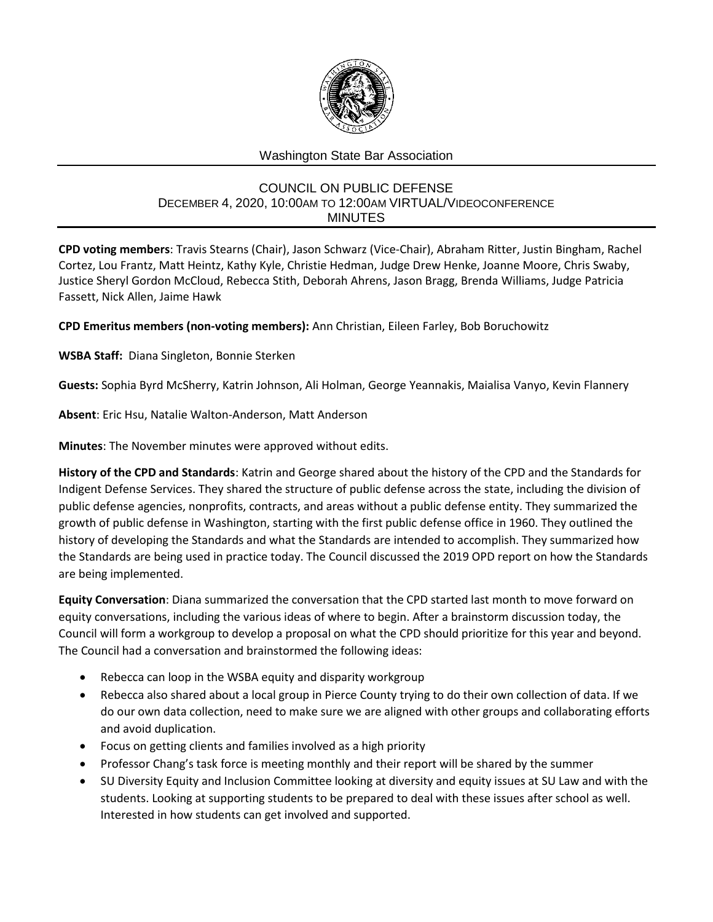

## Washington State Bar Association

## COUNCIL ON PUBLIC DEFENSE DECEMBER 4, 2020, 10:00AM TO 12:00AM VIRTUAL/VIDEOCONFERENCE MINUTES

**CPD voting members**: Travis Stearns (Chair), Jason Schwarz (Vice-Chair), Abraham Ritter, Justin Bingham, Rachel Cortez, Lou Frantz, Matt Heintz, Kathy Kyle, Christie Hedman, Judge Drew Henke, Joanne Moore, Chris Swaby, Justice Sheryl Gordon McCloud, Rebecca Stith, Deborah Ahrens, Jason Bragg, Brenda Williams, Judge Patricia Fassett, Nick Allen, Jaime Hawk

**CPD Emeritus members (non-voting members):** Ann Christian, Eileen Farley, Bob Boruchowitz

**WSBA Staff:** Diana Singleton, Bonnie Sterken

**Guests:** Sophia Byrd McSherry, Katrin Johnson, Ali Holman, George Yeannakis, Maialisa Vanyo, Kevin Flannery

**Absent**: Eric Hsu, Natalie Walton-Anderson, Matt Anderson

**Minutes**: The November minutes were approved without edits.

**History of the CPD and Standards**: Katrin and George shared about the history of the CPD and the Standards for Indigent Defense Services. They shared the structure of public defense across the state, including the division of public defense agencies, nonprofits, contracts, and areas without a public defense entity. They summarized the growth of public defense in Washington, starting with the first public defense office in 1960. They outlined the history of developing the Standards and what the Standards are intended to accomplish. They summarized how the Standards are being used in practice today. The Council discussed the 2019 OPD report on how the Standards are being implemented.

**Equity Conversation**: Diana summarized the conversation that the CPD started last month to move forward on equity conversations, including the various ideas of where to begin. After a brainstorm discussion today, the Council will form a workgroup to develop a proposal on what the CPD should prioritize for this year and beyond. The Council had a conversation and brainstormed the following ideas:

- Rebecca can loop in the WSBA equity and disparity workgroup
- Rebecca also shared about a local group in Pierce County trying to do their own collection of data. If we do our own data collection, need to make sure we are aligned with other groups and collaborating efforts and avoid duplication.
- Focus on getting clients and families involved as a high priority
- Professor Chang's task force is meeting monthly and their report will be shared by the summer
- SU Diversity Equity and Inclusion Committee looking at diversity and equity issues at SU Law and with the students. Looking at supporting students to be prepared to deal with these issues after school as well. Interested in how students can get involved and supported.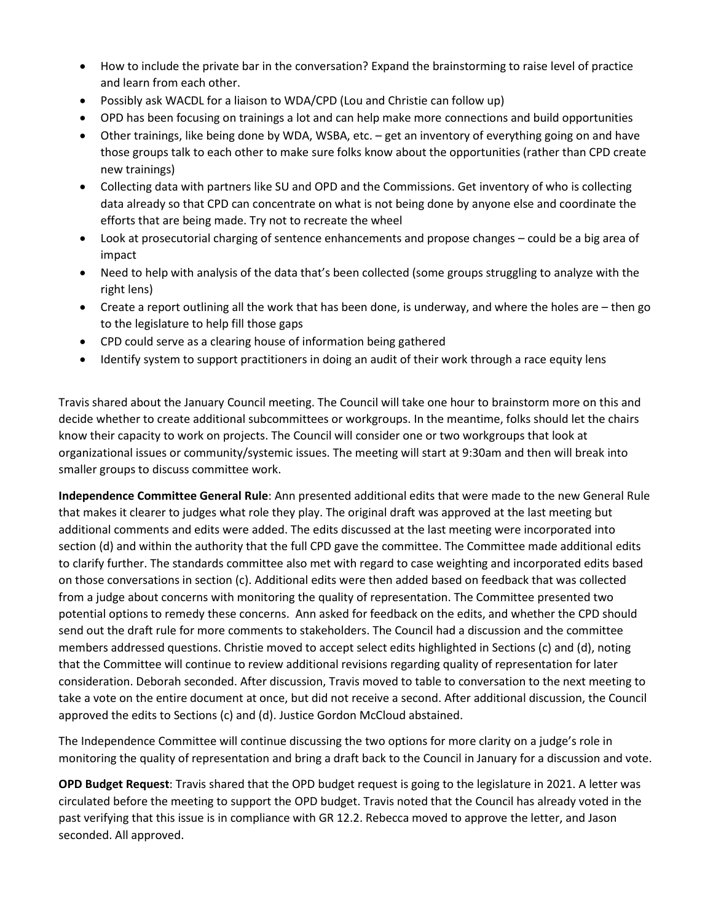- How to include the private bar in the conversation? Expand the brainstorming to raise level of practice and learn from each other.
- Possibly ask WACDL for a liaison to WDA/CPD (Lou and Christie can follow up)
- OPD has been focusing on trainings a lot and can help make more connections and build opportunities
- Other trainings, like being done by WDA, WSBA, etc. get an inventory of everything going on and have those groups talk to each other to make sure folks know about the opportunities (rather than CPD create new trainings)
- Collecting data with partners like SU and OPD and the Commissions. Get inventory of who is collecting data already so that CPD can concentrate on what is not being done by anyone else and coordinate the efforts that are being made. Try not to recreate the wheel
- Look at prosecutorial charging of sentence enhancements and propose changes could be a big area of impact
- Need to help with analysis of the data that's been collected (some groups struggling to analyze with the right lens)
- Create a report outlining all the work that has been done, is underway, and where the holes are then go to the legislature to help fill those gaps
- CPD could serve as a clearing house of information being gathered
- Identify system to support practitioners in doing an audit of their work through a race equity lens

Travis shared about the January Council meeting. The Council will take one hour to brainstorm more on this and decide whether to create additional subcommittees or workgroups. In the meantime, folks should let the chairs know their capacity to work on projects. The Council will consider one or two workgroups that look at organizational issues or community/systemic issues. The meeting will start at 9:30am and then will break into smaller groups to discuss committee work.

**Independence Committee General Rule**: Ann presented additional edits that were made to the new General Rule that makes it clearer to judges what role they play. The original draft was approved at the last meeting but additional comments and edits were added. The edits discussed at the last meeting were incorporated into section (d) and within the authority that the full CPD gave the committee. The Committee made additional edits to clarify further. The standards committee also met with regard to case weighting and incorporated edits based on those conversations in section (c). Additional edits were then added based on feedback that was collected from a judge about concerns with monitoring the quality of representation. The Committee presented two potential options to remedy these concerns. Ann asked for feedback on the edits, and whether the CPD should send out the draft rule for more comments to stakeholders. The Council had a discussion and the committee members addressed questions. Christie moved to accept select edits highlighted in Sections (c) and (d), noting that the Committee will continue to review additional revisions regarding quality of representation for later consideration. Deborah seconded. After discussion, Travis moved to table to conversation to the next meeting to take a vote on the entire document at once, but did not receive a second. After additional discussion, the Council approved the edits to Sections (c) and (d). Justice Gordon McCloud abstained.

The Independence Committee will continue discussing the two options for more clarity on a judge's role in monitoring the quality of representation and bring a draft back to the Council in January for a discussion and vote.

**OPD Budget Request**: Travis shared that the OPD budget request is going to the legislature in 2021. A letter was circulated before the meeting to support the OPD budget. Travis noted that the Council has already voted in the past verifying that this issue is in compliance with GR 12.2. Rebecca moved to approve the letter, and Jason seconded. All approved.